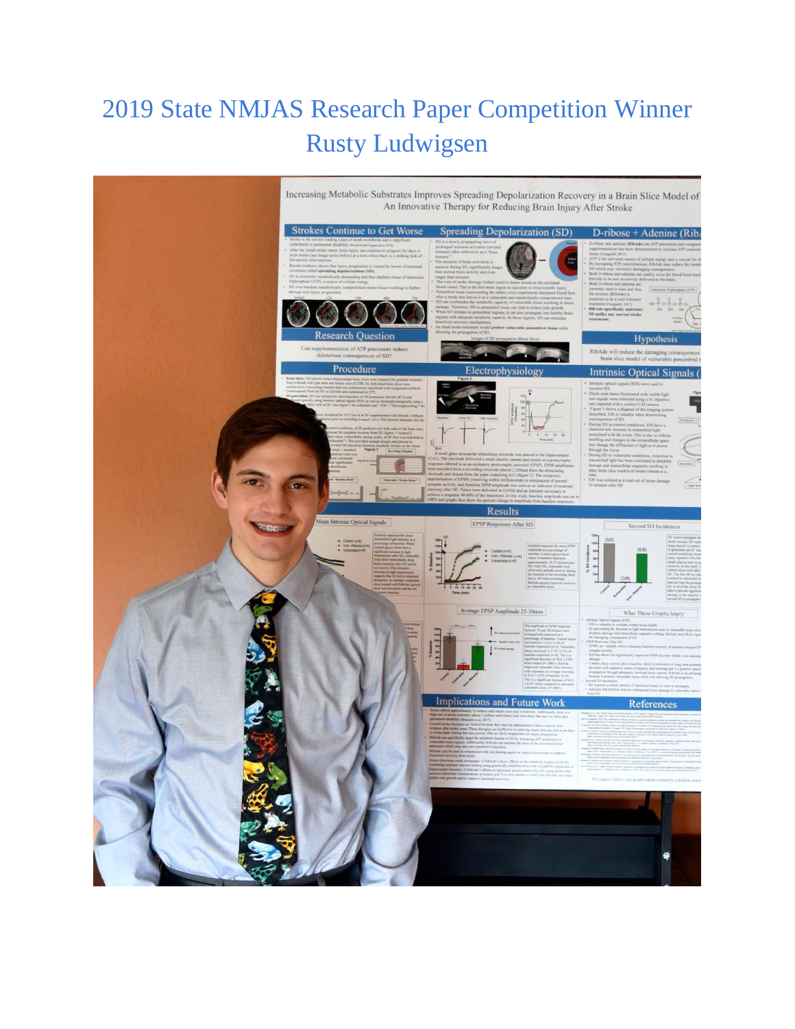## 2019 State NMJAS Research Paper Competition Winner Rusty Ludwigsen